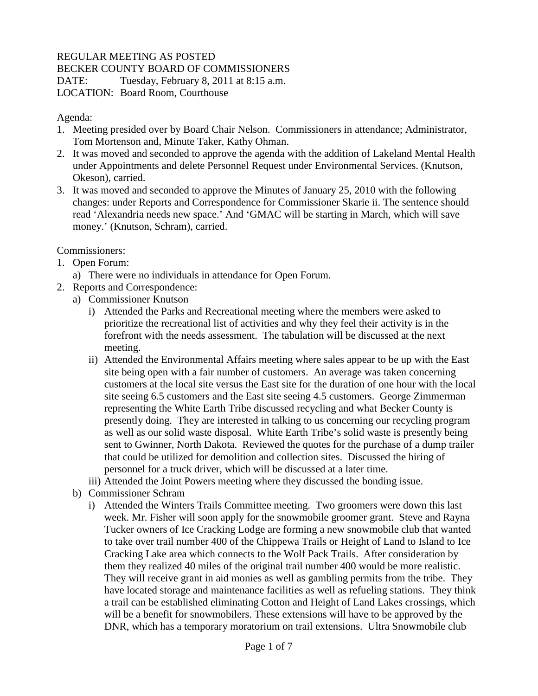## REGULAR MEETING AS POSTED

BECKER COUNTY BOARD OF COMMISSIONERS

DATE: Tuesday, February 8, 2011 at 8:15 a.m. LOCATION: Board Room, Courthouse

Agenda:

- 1. Meeting presided over by Board Chair Nelson. Commissioners in attendance; Administrator, Tom Mortenson and, Minute Taker, Kathy Ohman.
- 2. It was moved and seconded to approve the agenda with the addition of Lakeland Mental Health under Appointments and delete Personnel Request under Environmental Services. (Knutson, Okeson), carried.
- 3. It was moved and seconded to approve the Minutes of January 25, 2010 with the following changes: under Reports and Correspondence for Commissioner Skarie ii. The sentence should read 'Alexandria needs new space.' And 'GMAC will be starting in March, which will save money.' (Knutson, Schram), carried.

Commissioners:

- 1. Open Forum:
	- a) There were no individuals in attendance for Open Forum.
- 2. Reports and Correspondence:
	- a) Commissioner Knutson
		- i) Attended the Parks and Recreational meeting where the members were asked to prioritize the recreational list of activities and why they feel their activity is in the forefront with the needs assessment. The tabulation will be discussed at the next meeting.
		- ii) Attended the Environmental Affairs meeting where sales appear to be up with the East site being open with a fair number of customers. An average was taken concerning customers at the local site versus the East site for the duration of one hour with the local site seeing 6.5 customers and the East site seeing 4.5 customers. George Zimmerman representing the White Earth Tribe discussed recycling and what Becker County is presently doing. They are interested in talking to us concerning our recycling program as well as our solid waste disposal. White Earth Tribe's solid waste is presently being sent to Gwinner, North Dakota. Reviewed the quotes for the purchase of a dump trailer that could be utilized for demolition and collection sites. Discussed the hiring of personnel for a truck driver, which will be discussed at a later time.
		- iii) Attended the Joint Powers meeting where they discussed the bonding issue.
	- b) Commissioner Schram
		- i) Attended the Winters Trails Committee meeting. Two groomers were down this last week. Mr. Fisher will soon apply for the snowmobile groomer grant. Steve and Rayna Tucker owners of Ice Cracking Lodge are forming a new snowmobile club that wanted to take over trail number 400 of the Chippewa Trails or Height of Land to Island to Ice Cracking Lake area which connects to the Wolf Pack Trails. After consideration by them they realized 40 miles of the original trail number 400 would be more realistic. They will receive grant in aid monies as well as gambling permits from the tribe. They have located storage and maintenance facilities as well as refueling stations. They think a trail can be established eliminating Cotton and Height of Land Lakes crossings, which will be a benefit for snowmobilers. These extensions will have to be approved by the DNR, which has a temporary moratorium on trail extensions. Ultra Snowmobile club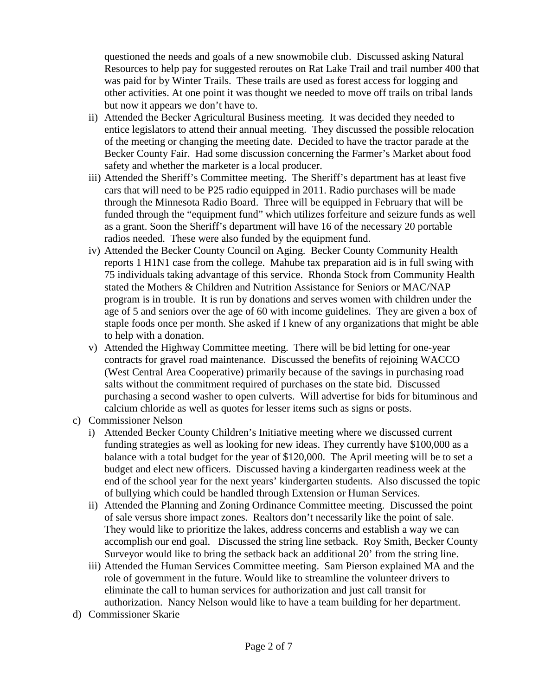questioned the needs and goals of a new snowmobile club. Discussed asking Natural Resources to help pay for suggested reroutes on Rat Lake Trail and trail number 400 that was paid for by Winter Trails. These trails are used as forest access for logging and other activities. At one point it was thought we needed to move off trails on tribal lands but now it appears we don't have to.

- ii) Attended the Becker Agricultural Business meeting. It was decided they needed to entice legislators to attend their annual meeting. They discussed the possible relocation of the meeting or changing the meeting date. Decided to have the tractor parade at the Becker County Fair. Had some discussion concerning the Farmer's Market about food safety and whether the marketer is a local producer.
- iii) Attended the Sheriff's Committee meeting. The Sheriff's department has at least five cars that will need to be P25 radio equipped in 2011. Radio purchases will be made through the Minnesota Radio Board. Three will be equipped in February that will be funded through the "equipment fund" which utilizes forfeiture and seizure funds as well as a grant. Soon the Sheriff's department will have 16 of the necessary 20 portable radios needed. These were also funded by the equipment fund.
- iv) Attended the Becker County Council on Aging. Becker County Community Health reports 1 H1N1 case from the college. Mahube tax preparation aid is in full swing with 75 individuals taking advantage of this service. Rhonda Stock from Community Health stated the Mothers & Children and Nutrition Assistance for Seniors or MAC/NAP program is in trouble. It is run by donations and serves women with children under the age of 5 and seniors over the age of 60 with income guidelines. They are given a box of staple foods once per month. She asked if I knew of any organizations that might be able to help with a donation.
- v) Attended the Highway Committee meeting. There will be bid letting for one-year contracts for gravel road maintenance. Discussed the benefits of rejoining WACCO (West Central Area Cooperative) primarily because of the savings in purchasing road salts without the commitment required of purchases on the state bid. Discussed purchasing a second washer to open culverts. Will advertise for bids for bituminous and calcium chloride as well as quotes for lesser items such as signs or posts.
- c) Commissioner Nelson
	- i) Attended Becker County Children's Initiative meeting where we discussed current funding strategies as well as looking for new ideas. They currently have \$100,000 as a balance with a total budget for the year of \$120,000. The April meeting will be to set a budget and elect new officers. Discussed having a kindergarten readiness week at the end of the school year for the next years' kindergarten students. Also discussed the topic of bullying which could be handled through Extension or Human Services.
	- ii) Attended the Planning and Zoning Ordinance Committee meeting. Discussed the point of sale versus shore impact zones. Realtors don't necessarily like the point of sale. They would like to prioritize the lakes, address concerns and establish a way we can accomplish our end goal. Discussed the string line setback. Roy Smith, Becker County Surveyor would like to bring the setback back an additional 20' from the string line.
	- iii) Attended the Human Services Committee meeting. Sam Pierson explained MA and the role of government in the future. Would like to streamline the volunteer drivers to eliminate the call to human services for authorization and just call transit for authorization. Nancy Nelson would like to have a team building for her department.
- d) Commissioner Skarie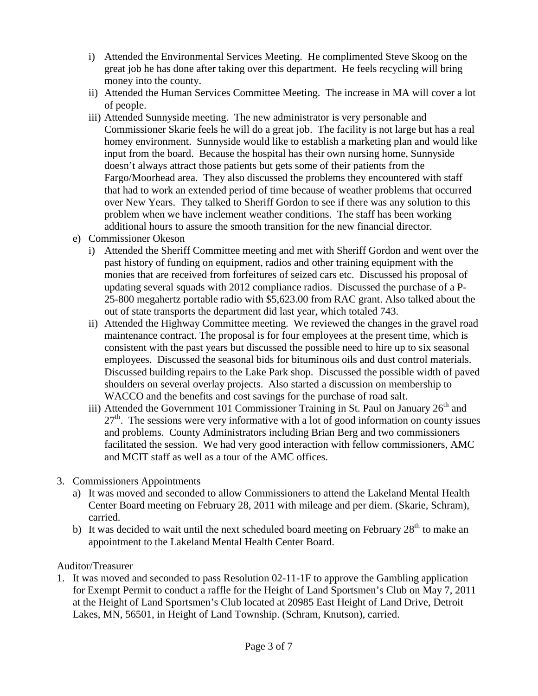- i) Attended the Environmental Services Meeting. He complimented Steve Skoog on the great job he has done after taking over this department. He feels recycling will bring money into the county.
- ii) Attended the Human Services Committee Meeting. The increase in MA will cover a lot of people.
- iii) Attended Sunnyside meeting. The new administrator is very personable and Commissioner Skarie feels he will do a great job. The facility is not large but has a real homey environment. Sunnyside would like to establish a marketing plan and would like input from the board. Because the hospital has their own nursing home, Sunnyside doesn't always attract those patients but gets some of their patients from the Fargo/Moorhead area. They also discussed the problems they encountered with staff that had to work an extended period of time because of weather problems that occurred over New Years. They talked to Sheriff Gordon to see if there was any solution to this problem when we have inclement weather conditions. The staff has been working additional hours to assure the smooth transition for the new financial director.
- e) Commissioner Okeson
	- i) Attended the Sheriff Committee meeting and met with Sheriff Gordon and went over the past history of funding on equipment, radios and other training equipment with the monies that are received from forfeitures of seized cars etc. Discussed his proposal of updating several squads with 2012 compliance radios. Discussed the purchase of a P-25-800 megahertz portable radio with \$5,623.00 from RAC grant. Also talked about the out of state transports the department did last year, which totaled 743.
	- ii) Attended the Highway Committee meeting. We reviewed the changes in the gravel road maintenance contract. The proposal is for four employees at the present time, which is consistent with the past years but discussed the possible need to hire up to six seasonal employees. Discussed the seasonal bids for bituminous oils and dust control materials. Discussed building repairs to the Lake Park shop. Discussed the possible width of paved shoulders on several overlay projects. Also started a discussion on membership to WACCO and the benefits and cost savings for the purchase of road salt.
	- iii) Attended the Government 101 Commissioner Training in St. Paul on January  $26<sup>th</sup>$  and  $27<sup>th</sup>$ . The sessions were very informative with a lot of good information on county issues and problems. County Administrators including Brian Berg and two commissioners facilitated the session. We had very good interaction with fellow commissioners, AMC and MCIT staff as well as a tour of the AMC offices.
- 3. Commissioners Appointments
	- a) It was moved and seconded to allow Commissioners to attend the Lakeland Mental Health Center Board meeting on February 28, 2011 with mileage and per diem. (Skarie, Schram), carried.
	- b) It was decided to wait until the next scheduled board meeting on February  $28<sup>th</sup>$  to make an appointment to the Lakeland Mental Health Center Board.

## Auditor/Treasurer

1. It was moved and seconded to pass Resolution 02-11-1F to approve the Gambling application for Exempt Permit to conduct a raffle for the Height of Land Sportsmen's Club on May 7, 2011 at the Height of Land Sportsmen's Club located at 20985 East Height of Land Drive, Detroit Lakes, MN, 56501, in Height of Land Township. (Schram, Knutson), carried.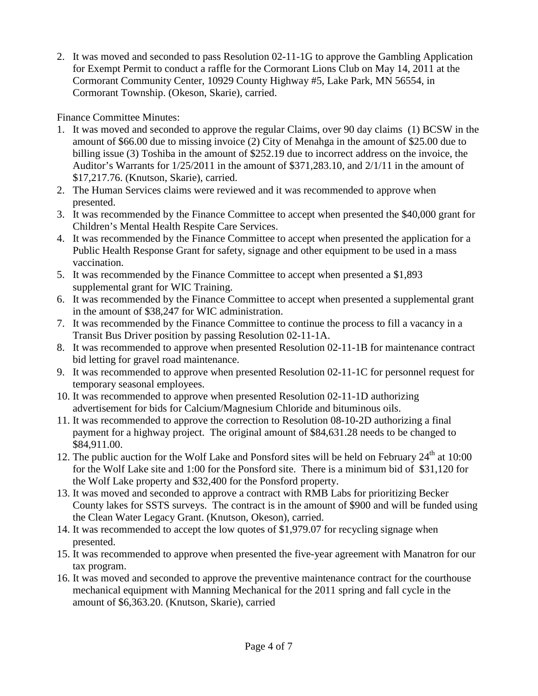2. It was moved and seconded to pass Resolution 02-11-1G to approve the Gambling Application for Exempt Permit to conduct a raffle for the Cormorant Lions Club on May 14, 2011 at the Cormorant Community Center, 10929 County Highway #5, Lake Park, MN 56554, in Cormorant Township. (Okeson, Skarie), carried.

Finance Committee Minutes:

- 1. It was moved and seconded to approve the regular Claims, over 90 day claims (1) BCSW in the amount of \$66.00 due to missing invoice (2) City of Menahga in the amount of \$25.00 due to billing issue (3) Toshiba in the amount of \$252.19 due to incorrect address on the invoice, the Auditor's Warrants for 1/25/2011 in the amount of \$371,283.10, and 2/1/11 in the amount of \$17,217.76. (Knutson, Skarie), carried.
- 2. The Human Services claims were reviewed and it was recommended to approve when presented.
- 3. It was recommended by the Finance Committee to accept when presented the \$40,000 grant for Children's Mental Health Respite Care Services.
- 4. It was recommended by the Finance Committee to accept when presented the application for a Public Health Response Grant for safety, signage and other equipment to be used in a mass vaccination.
- 5. It was recommended by the Finance Committee to accept when presented a \$1,893 supplemental grant for WIC Training.
- 6. It was recommended by the Finance Committee to accept when presented a supplemental grant in the amount of \$38,247 for WIC administration.
- 7. It was recommended by the Finance Committee to continue the process to fill a vacancy in a Transit Bus Driver position by passing Resolution 02-11-1A.
- 8. It was recommended to approve when presented Resolution 02-11-1B for maintenance contract bid letting for gravel road maintenance.
- 9. It was recommended to approve when presented Resolution 02-11-1C for personnel request for temporary seasonal employees.
- 10. It was recommended to approve when presented Resolution 02-11-1D authorizing advertisement for bids for Calcium/Magnesium Chloride and bituminous oils.
- 11. It was recommended to approve the correction to Resolution 08-10-2D authorizing a final payment for a highway project. The original amount of \$84,631.28 needs to be changed to \$84,911.00.
- 12. The public auction for the Wolf Lake and Ponsford sites will be held on February  $24<sup>th</sup>$  at 10:00 for the Wolf Lake site and 1:00 for the Ponsford site. There is a minimum bid of \$31,120 for the Wolf Lake property and \$32,400 for the Ponsford property.
- 13. It was moved and seconded to approve a contract with RMB Labs for prioritizing Becker County lakes for SSTS surveys. The contract is in the amount of \$900 and will be funded using the Clean Water Legacy Grant. (Knutson, Okeson), carried.
- 14. It was recommended to accept the low quotes of \$1,979.07 for recycling signage when presented.
- 15. It was recommended to approve when presented the five-year agreement with Manatron for our tax program.
- 16. It was moved and seconded to approve the preventive maintenance contract for the courthouse mechanical equipment with Manning Mechanical for the 2011 spring and fall cycle in the amount of \$6,363.20. (Knutson, Skarie), carried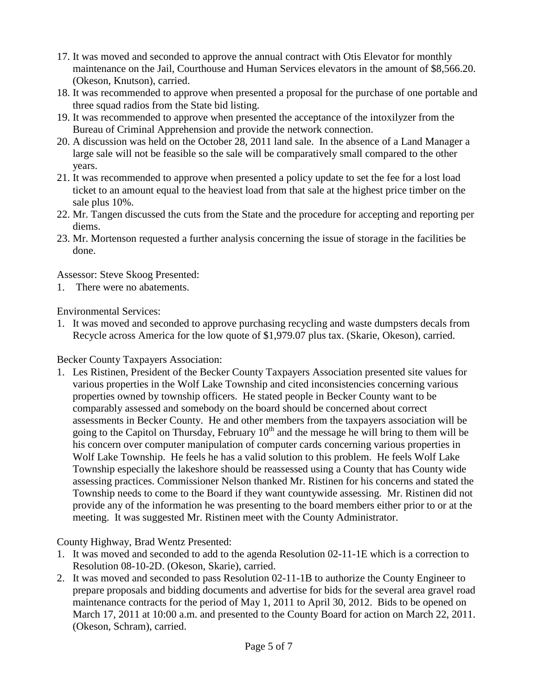- 17. It was moved and seconded to approve the annual contract with Otis Elevator for monthly maintenance on the Jail, Courthouse and Human Services elevators in the amount of \$8,566.20. (Okeson, Knutson), carried.
- 18. It was recommended to approve when presented a proposal for the purchase of one portable and three squad radios from the State bid listing.
- 19. It was recommended to approve when presented the acceptance of the intoxilyzer from the Bureau of Criminal Apprehension and provide the network connection.
- 20. A discussion was held on the October 28, 2011 land sale. In the absence of a Land Manager a large sale will not be feasible so the sale will be comparatively small compared to the other years.
- 21. It was recommended to approve when presented a policy update to set the fee for a lost load ticket to an amount equal to the heaviest load from that sale at the highest price timber on the sale plus 10%.
- 22. Mr. Tangen discussed the cuts from the State and the procedure for accepting and reporting per diems.
- 23. Mr. Mortenson requested a further analysis concerning the issue of storage in the facilities be done.

Assessor: Steve Skoog Presented:

1. There were no abatements.

Environmental Services:

1. It was moved and seconded to approve purchasing recycling and waste dumpsters decals from Recycle across America for the low quote of \$1,979.07 plus tax. (Skarie, Okeson), carried.

Becker County Taxpayers Association:

1. Les Ristinen, President of the Becker County Taxpayers Association presented site values for various properties in the Wolf Lake Township and cited inconsistencies concerning various properties owned by township officers. He stated people in Becker County want to be comparably assessed and somebody on the board should be concerned about correct assessments in Becker County. He and other members from the taxpayers association will be going to the Capitol on Thursday, February  $10<sup>th</sup>$  and the message he will bring to them will be his concern over computer manipulation of computer cards concerning various properties in Wolf Lake Township. He feels he has a valid solution to this problem. He feels Wolf Lake Township especially the lakeshore should be reassessed using a County that has County wide assessing practices. Commissioner Nelson thanked Mr. Ristinen for his concerns and stated the Township needs to come to the Board if they want countywide assessing. Mr. Ristinen did not provide any of the information he was presenting to the board members either prior to or at the meeting. It was suggested Mr. Ristinen meet with the County Administrator.

County Highway, Brad Wentz Presented:

- 1. It was moved and seconded to add to the agenda Resolution 02-11-1E which is a correction to Resolution 08-10-2D. (Okeson, Skarie), carried.
- 2. It was moved and seconded to pass Resolution 02-11-1B to authorize the County Engineer to prepare proposals and bidding documents and advertise for bids for the several area gravel road maintenance contracts for the period of May 1, 2011 to April 30, 2012. Bids to be opened on March 17, 2011 at 10:00 a.m. and presented to the County Board for action on March 22, 2011. (Okeson, Schram), carried.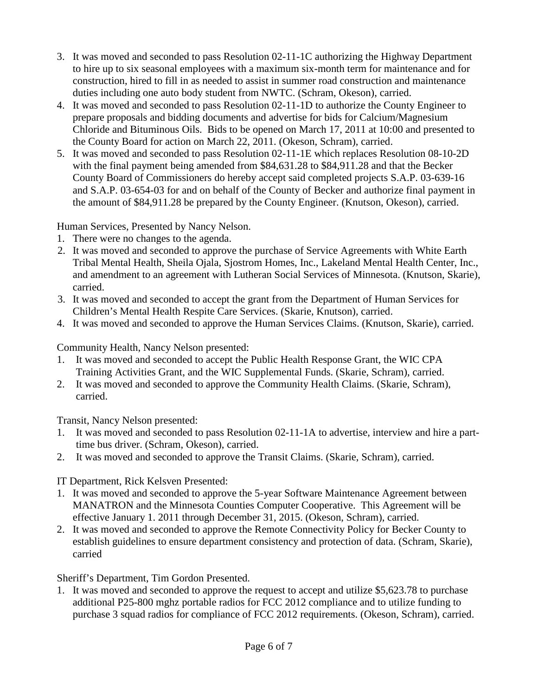- 3. It was moved and seconded to pass Resolution 02-11-1C authorizing the Highway Department to hire up to six seasonal employees with a maximum six-month term for maintenance and for construction, hired to fill in as needed to assist in summer road construction and maintenance duties including one auto body student from NWTC. (Schram, Okeson), carried.
- 4. It was moved and seconded to pass Resolution 02-11-1D to authorize the County Engineer to prepare proposals and bidding documents and advertise for bids for Calcium/Magnesium Chloride and Bituminous Oils. Bids to be opened on March 17, 2011 at 10:00 and presented to the County Board for action on March 22, 2011. (Okeson, Schram), carried.
- 5. It was moved and seconded to pass Resolution 02-11-1E which replaces Resolution 08-10-2D with the final payment being amended from \$84,631.28 to \$84,911.28 and that the Becker County Board of Commissioners do hereby accept said completed projects S.A.P. 03-639-16 and S.A.P. 03-654-03 for and on behalf of the County of Becker and authorize final payment in the amount of \$84,911.28 be prepared by the County Engineer. (Knutson, Okeson), carried.

Human Services, Presented by Nancy Nelson.

- 1. There were no changes to the agenda.
- 2. It was moved and seconded to approve the purchase of Service Agreements with White Earth Tribal Mental Health, Sheila Ojala, Sjostrom Homes, Inc., Lakeland Mental Health Center, Inc., and amendment to an agreement with Lutheran Social Services of Minnesota. (Knutson, Skarie), carried.
- 3. It was moved and seconded to accept the grant from the Department of Human Services for Children's Mental Health Respite Care Services. (Skarie, Knutson), carried.
- 4. It was moved and seconded to approve the Human Services Claims. (Knutson, Skarie), carried.

Community Health, Nancy Nelson presented:

- 1. It was moved and seconded to accept the Public Health Response Grant, the WIC CPA Training Activities Grant, and the WIC Supplemental Funds. (Skarie, Schram), carried.
- 2. It was moved and seconded to approve the Community Health Claims. (Skarie, Schram), carried.

Transit, Nancy Nelson presented:

- 1. It was moved and seconded to pass Resolution 02-11-1A to advertise, interview and hire a parttime bus driver. (Schram, Okeson), carried.
- 2. It was moved and seconded to approve the Transit Claims. (Skarie, Schram), carried.

IT Department, Rick Kelsven Presented:

- 1. It was moved and seconded to approve the 5-year Software Maintenance Agreement between MANATRON and the Minnesota Counties Computer Cooperative. This Agreement will be effective January 1. 2011 through December 31, 2015. (Okeson, Schram), carried.
- 2. It was moved and seconded to approve the Remote Connectivity Policy for Becker County to establish guidelines to ensure department consistency and protection of data. (Schram, Skarie), carried

Sheriff's Department, Tim Gordon Presented.

1. It was moved and seconded to approve the request to accept and utilize \$5,623.78 to purchase additional P25-800 mghz portable radios for FCC 2012 compliance and to utilize funding to purchase 3 squad radios for compliance of FCC 2012 requirements. (Okeson, Schram), carried.